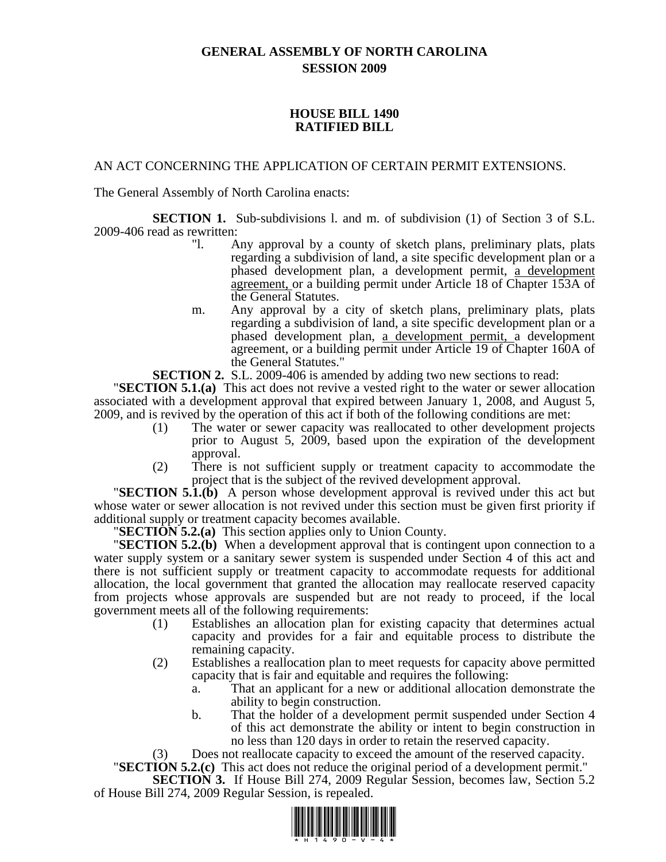## **GENERAL ASSEMBLY OF NORTH CAROLINA SESSION 2009**

## **HOUSE BILL 1490 RATIFIED BILL**

## AN ACT CONCERNING THE APPLICATION OF CERTAIN PERMIT EXTENSIONS.

The General Assembly of North Carolina enacts:

**SECTION 1.** Sub-subdivisions 1. and m. of subdivision (1) of Section 3 of S.L. 2009-406 read as rewritten:

- "l. Any approval by a county of sketch plans, preliminary plats, plats regarding a subdivision of land, a site specific development plan or a phased development plan, a development permit, a development agreement, or a building permit under Article 18 of Chapter 153A of the General Statutes.
- m. Any approval by a city of sketch plans, preliminary plats, plats regarding a subdivision of land, a site specific development plan or a phased development plan, a development permit, a development agreement, or a building permit under Article 19 of Chapter 160A of the General Statutes."

**SECTION 2.** S.L. 2009-406 is amended by adding two new sections to read: "**SECTION 5.1.(a)** This act does not revive a vested right to the water or sewer allocation associated with a development approval that expired between January 1, 2008, and August 5, 2009, and is revived by the operation of this act if both of the following conditions are met:

- (1) The water or sewer capacity was reallocated to other development projects prior to August 5, 2009, based upon the expiration of the development approval.
- (2) There is not sufficient supply or treatment capacity to accommodate the

project that is the subject of the revived development approval.<br>**"SECTION 5.1.(b)** A person whose development approval is revived under this act but whose water or sewer allocation is not revived under this section must be given first priority if additional supply or treatment capacity becomes available. "**SECTION 5.2.(a)** This section applies only to Union County. "**SECTION 5.2.(b)** When a development approval that is contingent upon connection to a

water supply system or a sanitary sewer system is suspended under Section 4 of this act and there is not sufficient supply or treatment capacity to accommodate requests for additional allocation, the local government that granted the allocation may reallocate reserved capacity from projects whose approvals are suspended but are not ready to proceed, if the local government meets all of the following requirements:

- (1) Establishes an allocation plan for existing capacity that determines actual capacity and provides for a fair and equitable process to distribute the remaining capacity.
- (2) Establishes a reallocation plan to meet requests for capacity above permitted capacity that is fair and equitable and requires the following:
	- a. That an applicant for a new or additional allocation demonstrate the ability to begin construction.
	- b. That the holder of a development permit suspended under Section 4 of this act demonstrate the ability or intent to begin construction in no less than 120 days in order to retain the reserved capacity.

(3) Does not reallocate capacity to exceed the amount of the reserved capacity. "**SECTION 5.2.(c)** This act does not reduce the original period of a development permit."

**SECTION 3.** If House Bill 274, 2009 Regular Session, becomes law, Section 5.2

of House Bill 274, 2009 Regular Session, is repealed.